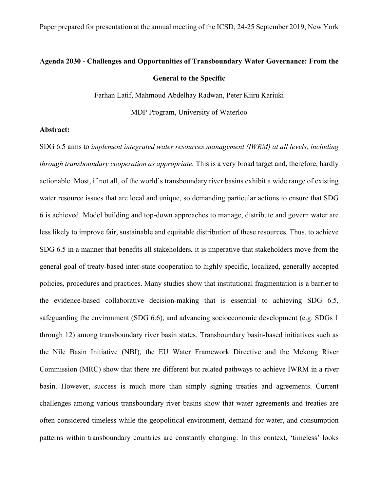# **Agenda 2030 - Challenges and Opportunities of Transboundary Water Governance: From the General to the Specific**

Farhan Latif, Mahmoud Abdelhay Radwan, Peter Kiiru Kariuki

MDP Program, University of Waterloo

# **Abstract:**

SDG 6.5 aims to *implement integrated water resources management (IWRM) at all levels, including through transboundary cooperation as appropriate.* This is a very broad target and, therefore, hardly actionable. Most, if not all, of the world's transboundary river basins exhibit a wide range of existing water resource issues that are local and unique, so demanding particular actions to ensure that SDG 6 is achieved. Model building and top-down approaches to manage, distribute and govern water are less likely to improve fair, sustainable and equitable distribution of these resources. Thus, to achieve SDG 6.5 in a manner that benefits all stakeholders, it is imperative that stakeholders move from the general goal of treaty-based inter-state cooperation to highly specific, localized, generally accepted policies, procedures and practices. Many studies show that institutional fragmentation is a barrier to the evidence-based collaborative decision-making that is essential to achieving SDG 6.5, safeguarding the environment (SDG 6.6), and advancing socioeconomic development (e.g. SDGs 1 through 12) among transboundary river basin states. Transboundary basin-based initiatives such as the Nile Basin Initiative (NBI), the EU Water Framework Directive and the Mekong River Commission (MRC) show that there are different but related pathways to achieve IWRM in a river basin. However, success is much more than simply signing treaties and agreements. Current challenges among various transboundary river basins show that water agreements and treaties are often considered timeless while the geopolitical environment, demand for water, and consumption patterns within transboundary countries are constantly changing. In this context, 'timeless' looks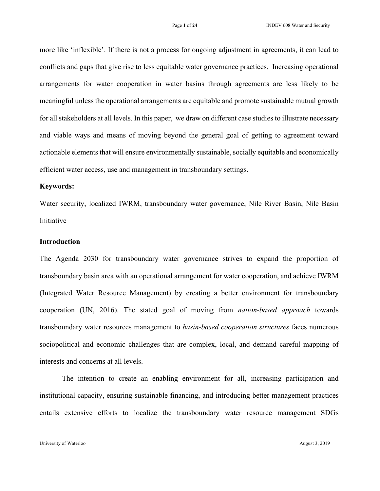more like 'inflexible'. If there is not a process for ongoing adjustment in agreements, it can lead to conflicts and gaps that give rise to less equitable water governance practices. Increasing operational arrangements for water cooperation in water basins through agreements are less likely to be meaningful unless the operational arrangements are equitable and promote sustainable mutual growth for all stakeholders at all levels. In this paper, we draw on different case studies to illustrate necessary and viable ways and means of moving beyond the general goal of getting to agreement toward actionable elements that will ensure environmentally sustainable, socially equitable and economically efficient water access, use and management in transboundary settings.

#### **Keywords:**

Water security, localized IWRM, transboundary water governance, Nile River Basin, Nile Basin Initiative

# **Introduction**

The Agenda 2030 for transboundary water governance strives to expand the proportion of transboundary basin area with an operational arrangement for water cooperation, and achieve IWRM (Integrated Water Resource Management) by creating a better environment for transboundary cooperation (UN, 2016). The stated goal of moving from *nation-based approach* towards transboundary water resources management to *basin-based cooperation structures* faces numerous sociopolitical and economic challenges that are complex, local, and demand careful mapping of interests and concerns at all levels.

The intention to create an enabling environment for all, increasing participation and institutional capacity, ensuring sustainable financing, and introducing better management practices entails extensive efforts to localize the transboundary water resource management SDGs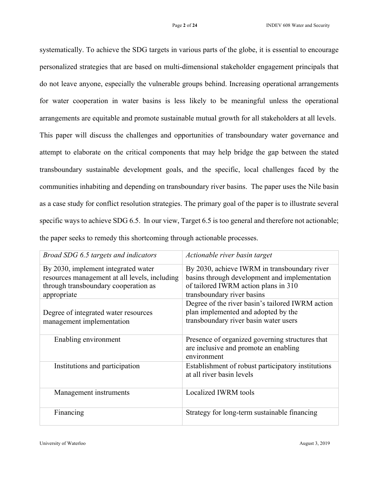systematically. To achieve the SDG targets in various parts of the globe, it is essential to encourage personalized strategies that are based on multi-dimensional stakeholder engagement principals that do not leave anyone, especially the vulnerable groups behind. Increasing operational arrangements for water cooperation in water basins is less likely to be meaningful unless the operational arrangements are equitable and promote sustainable mutual growth for all stakeholders at all levels.

This paper will discuss the challenges and opportunities of transboundary water governance and attempt to elaborate on the critical components that may help bridge the gap between the stated transboundary sustainable development goals, and the specific, local challenges faced by the communities inhabiting and depending on transboundary river basins. The paper uses the Nile basin as a case study for conflict resolution strategies. The primary goal of the paper is to illustrate several specific ways to achieve SDG 6.5. In our view, Target 6.5 is too general and therefore not actionable; the paper seeks to remedy this shortcoming through actionable processes.

| Broad SDG 6.5 targets and indicators                                                                                                        | Actionable river basin target                                                                                                                                       |
|---------------------------------------------------------------------------------------------------------------------------------------------|---------------------------------------------------------------------------------------------------------------------------------------------------------------------|
| By 2030, implement integrated water<br>resources management at all levels, including<br>through transboundary cooperation as<br>appropriate | By 2030, achieve IWRM in transboundary river<br>basins through development and implementation<br>of tailored IWRM action plans in 310<br>transboundary river basins |
| Degree of integrated water resources<br>management implementation                                                                           | Degree of the river basin's tailored IWRM action<br>plan implemented and adopted by the<br>transboundary river basin water users                                    |
| Enabling environment                                                                                                                        | Presence of organized governing structures that<br>are inclusive and promote an enabling<br>environment                                                             |
| Institutions and participation                                                                                                              | Establishment of robust participatory institutions<br>at all river basin levels                                                                                     |
| Management instruments                                                                                                                      | Localized IWRM tools                                                                                                                                                |
| Financing                                                                                                                                   | Strategy for long-term sustainable financing                                                                                                                        |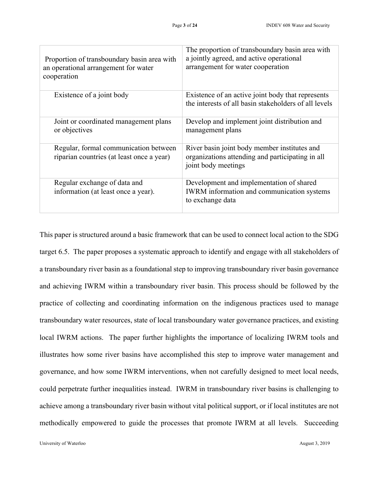| Proportion of transboundary basin area with<br>an operational arrangement for water<br>cooperation | The proportion of transboundary basin area with<br>a jointly agreed, and active operational<br>arrangement for water cooperation |
|----------------------------------------------------------------------------------------------------|----------------------------------------------------------------------------------------------------------------------------------|
| Existence of a joint body                                                                          | Existence of an active joint body that represents<br>the interests of all basin stakeholders of all levels                       |
| Joint or coordinated management plans<br>or objectives                                             | Develop and implement joint distribution and<br>management plans                                                                 |
| Regular, formal communication between<br>riparian countries (at least once a year)                 | River basin joint body member institutes and<br>organizations attending and participating in all<br>joint body meetings          |
| Regular exchange of data and<br>information (at least once a year).                                | Development and implementation of shared<br>IWRM information and communication systems<br>to exchange data                       |

This paper is structured around a basic framework that can be used to connect local action to the SDG target 6.5. The paper proposes a systematic approach to identify and engage with all stakeholders of a transboundary river basin as a foundational step to improving transboundary river basin governance and achieving IWRM within a transboundary river basin. This process should be followed by the practice of collecting and coordinating information on the indigenous practices used to manage transboundary water resources, state of local transboundary water governance practices, and existing local IWRM actions. The paper further highlights the importance of localizing IWRM tools and illustrates how some river basins have accomplished this step to improve water management and governance, and how some IWRM interventions, when not carefully designed to meet local needs, could perpetrate further inequalities instead. IWRM in transboundary river basins is challenging to achieve among a transboundary river basin without vital political support, or if local institutes are not methodically empowered to guide the processes that promote IWRM at all levels. Succeeding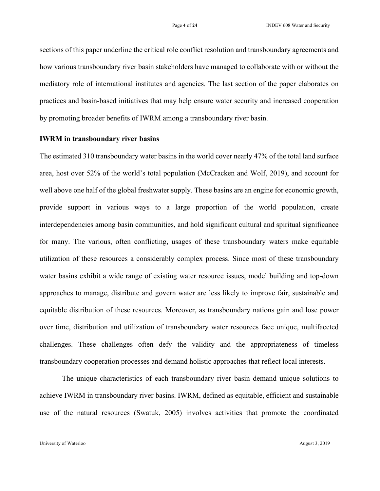sections of this paper underline the critical role conflict resolution and transboundary agreements and how various transboundary river basin stakeholders have managed to collaborate with or without the mediatory role of international institutes and agencies. The last section of the paper elaborates on practices and basin-based initiatives that may help ensure water security and increased cooperation by promoting broader benefits of IWRM among a transboundary river basin.

#### **IWRM in transboundary river basins**

The estimated 310 transboundary water basins in the world cover nearly 47% of the total land surface area, host over 52% of the world's total population (McCracken and Wolf, 2019), and account for well above one half of the global freshwater supply. These basins are an engine for economic growth, provide support in various ways to a large proportion of the world population, create interdependencies among basin communities, and hold significant cultural and spiritual significance for many. The various, often conflicting, usages of these transboundary waters make equitable utilization of these resources a considerably complex process. Since most of these transboundary water basins exhibit a wide range of existing water resource issues, model building and top-down approaches to manage, distribute and govern water are less likely to improve fair, sustainable and equitable distribution of these resources. Moreover, as transboundary nations gain and lose power over time, distribution and utilization of transboundary water resources face unique, multifaceted challenges. These challenges often defy the validity and the appropriateness of timeless transboundary cooperation processes and demand holistic approaches that reflect local interests.

The unique characteristics of each transboundary river basin demand unique solutions to achieve IWRM in transboundary river basins. IWRM, defined as equitable, efficient and sustainable use of the natural resources (Swatuk, 2005) involves activities that promote the coordinated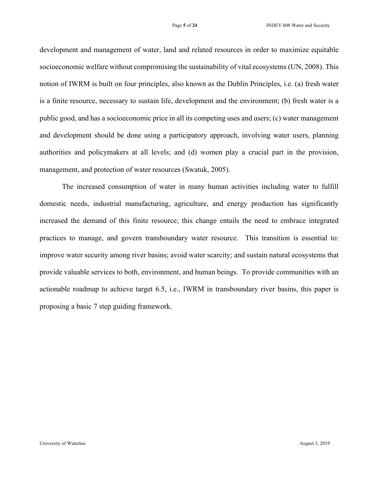development and management of water, land and related resources in order to maximize equitable socioeconomic welfare without compromising the sustainability of vital ecosystems (UN, 2008). This notion of IWRM is built on four principles, also known as the Dublin Principles, i.e. (a) fresh water is a finite resource, necessary to sustain life, development and the environment; (b) fresh water is a public good, and has a socioeconomic price in all its competing uses and users; (c) water management and development should be done using a participatory approach, involving water users, planning authorities and policymakers at all levels; and (d) women play a crucial part in the provision, management, and protection of water resources (Swatuk, 2005).

The increased consumption of water in many human activities including water to fulfill domestic needs, industrial manufacturing, agriculture, and energy production has significantly increased the demand of this finite resource; this change entails the need to embrace integrated practices to manage, and govern transboundary water resource. This transition is essential to: improve water security among river basins; avoid water scarcity; and sustain natural ecosystems that provide valuable services to both, environment, and human beings. To provide communities with an actionable roadmap to achieve target 6.5, i.e., IWRM in transboundary river basins, this paper is proposing a basic 7 step guiding framework.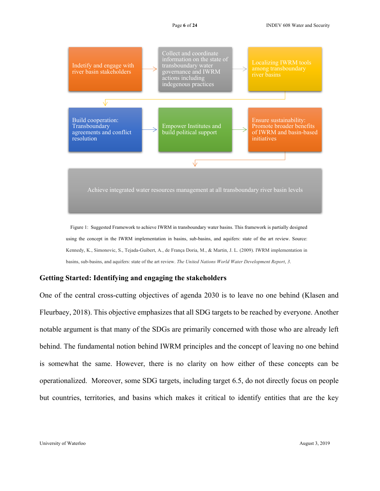

Figure 1: Suggested Framework to achieve IWRM in transboundary water basins. This framework is partially designed using the concept in the IWRM implementation in basins, sub-basins, and aquifers: state of the art review. Source: Kennedy, K., Simonovic, S., Tejada-Guibert, A., de França Doria, M., & Martin, J. L. (2009). IWRM implementation in basins, sub-basins, and aquifers: state of the art review. *The United Nations World Water Development Report*, *3*.

### **Getting Started: Identifying and engaging the stakeholders**

One of the central cross-cutting objectives of agenda 2030 is to leave no one behind (Klasen and Fleurbaey, 2018). This objective emphasizes that all SDG targets to be reached by everyone. Another notable argument is that many of the SDGs are primarily concerned with those who are already left behind. The fundamental notion behind IWRM principles and the concept of leaving no one behind is somewhat the same. However, there is no clarity on how either of these concepts can be operationalized. Moreover, some SDG targets, including target 6.5, do not directly focus on people but countries, territories, and basins which makes it critical to identify entities that are the key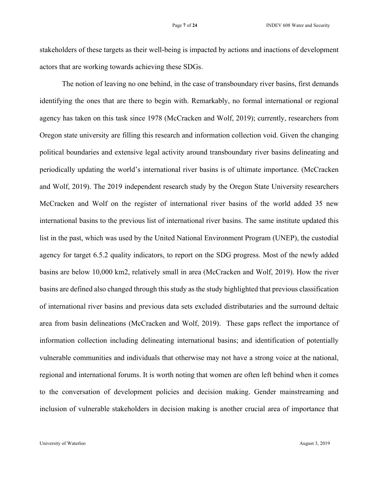stakeholders of these targets as their well-being is impacted by actions and inactions of development actors that are working towards achieving these SDGs.

The notion of leaving no one behind, in the case of transboundary river basins, first demands identifying the ones that are there to begin with. Remarkably, no formal international or regional agency has taken on this task since 1978 (McCracken and Wolf, 2019); currently, researchers from Oregon state university are filling this research and information collection void. Given the changing political boundaries and extensive legal activity around transboundary river basins delineating and periodically updating the world's international river basins is of ultimate importance. (McCracken and Wolf, 2019). The 2019 independent research study by the Oregon State University researchers McCracken and Wolf on the register of international river basins of the world added 35 new international basins to the previous list of international river basins. The same institute updated this list in the past, which was used by the United National Environment Program (UNEP), the custodial agency for target 6.5.2 quality indicators, to report on the SDG progress. Most of the newly added basins are below 10,000 km2, relatively small in area (McCracken and Wolf, 2019). How the river basins are defined also changed through this study as the study highlighted that previous classification of international river basins and previous data sets excluded distributaries and the surround deltaic area from basin delineations (McCracken and Wolf, 2019). These gaps reflect the importance of information collection including delineating international basins; and identification of potentially vulnerable communities and individuals that otherwise may not have a strong voice at the national, regional and international forums. It is worth noting that women are often left behind when it comes to the conversation of development policies and decision making. Gender mainstreaming and inclusion of vulnerable stakeholders in decision making is another crucial area of importance that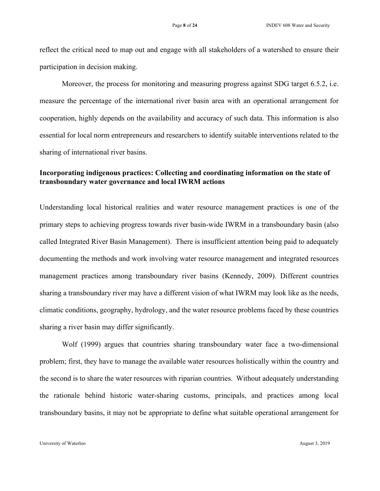reflect the critical need to map out and engage with all stakeholders of a watershed to ensure their participation in decision making.

Moreover, the process for monitoring and measuring progress against SDG target 6.5.2, i.e. measure the percentage of the international river basin area with an operational arrangement for cooperation, highly depends on the availability and accuracy of such data. This information is also essential for local norm entrepreneurs and researchers to identify suitable interventions related to the sharing of international river basins.

# **Incorporating indigenous practices: Collecting and coordinating information on the state of transboundary water governance and local IWRM actions**

Understanding local historical realities and water resource management practices is one of the primary steps to achieving progress towards river basin-wide IWRM in a transboundary basin (also called Integrated River Basin Management). There is insufficient attention being paid to adequately documenting the methods and work involving water resource management and integrated resources management practices among transboundary river basins (Kennedy, 2009). Different countries sharing a transboundary river may have a different vision of what IWRM may look like as the needs, climatic conditions, geography, hydrology, and the water resource problems faced by these countries sharing a river basin may differ significantly.

Wolf (1999) argues that countries sharing transboundary water face a two-dimensional problem; first, they have to manage the available water resources holistically within the country and the second is to share the water resources with riparian countries. Without adequately understanding the rationale behind historic water-sharing customs, principals, and practices among local transboundary basins, it may not be appropriate to define what suitable operational arrangement for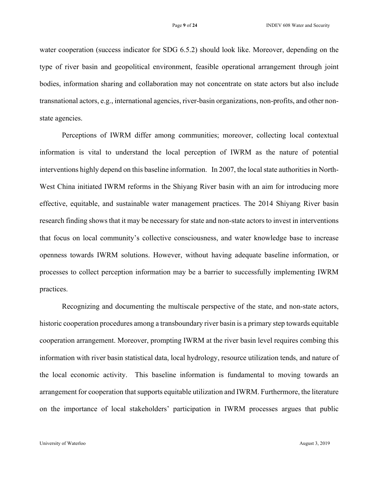water cooperation (success indicator for SDG 6.5.2) should look like. Moreover, depending on the type of river basin and geopolitical environment, feasible operational arrangement through joint bodies, information sharing and collaboration may not concentrate on state actors but also include transnational actors, e.g., international agencies, river-basin organizations, non-profits, and other nonstate agencies.

Perceptions of IWRM differ among communities; moreover, collecting local contextual information is vital to understand the local perception of IWRM as the nature of potential interventions highly depend on this baseline information. In 2007, the local state authorities in North-West China initiated IWRM reforms in the Shiyang River basin with an aim for introducing more effective, equitable, and sustainable water management practices. The 2014 Shiyang River basin research finding shows that it may be necessary for state and non-state actors to invest in interventions that focus on local community's collective consciousness, and water knowledge base to increase openness towards IWRM solutions. However, without having adequate baseline information, or processes to collect perception information may be a barrier to successfully implementing IWRM practices.

Recognizing and documenting the multiscale perspective of the state, and non-state actors, historic cooperation procedures among a transboundary river basin is a primary step towards equitable cooperation arrangement. Moreover, prompting IWRM at the river basin level requires combing this information with river basin statistical data, local hydrology, resource utilization tends, and nature of the local economic activity. This baseline information is fundamental to moving towards an arrangement for cooperation that supports equitable utilization and IWRM. Furthermore, the literature on the importance of local stakeholders' participation in IWRM processes argues that public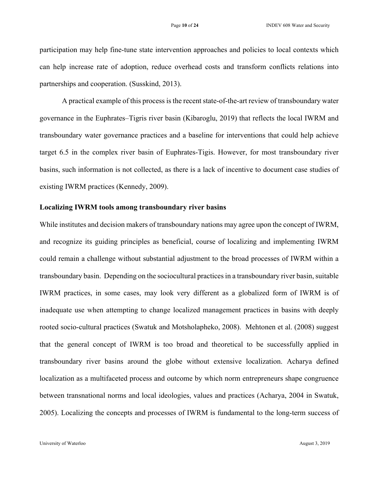participation may help fine-tune state intervention approaches and policies to local contexts which can help increase rate of adoption, reduce overhead costs and transform conflicts relations into partnerships and cooperation. (Susskind, 2013).

A practical example of this process is the recent state-of-the-art review of transboundary water governance in the Euphrates–Tigris river basin (Kibaroglu, 2019) that reflects the local IWRM and transboundary water governance practices and a baseline for interventions that could help achieve target 6.5 in the complex river basin of Euphrates-Tigis. However, for most transboundary river basins, such information is not collected, as there is a lack of incentive to document case studies of existing IWRM practices (Kennedy, 2009).

#### **Localizing IWRM tools among transboundary river basins**

While institutes and decision makers of transboundary nations may agree upon the concept of IWRM, and recognize its guiding principles as beneficial, course of localizing and implementing IWRM could remain a challenge without substantial adjustment to the broad processes of IWRM within a transboundary basin. Depending on the sociocultural practices in a transboundary river basin, suitable IWRM practices, in some cases, may look very different as a globalized form of IWRM is of inadequate use when attempting to change localized management practices in basins with deeply rooted socio-cultural practices (Swatuk and Motsholapheko, 2008). Mehtonen et al. (2008) suggest that the general concept of IWRM is too broad and theoretical to be successfully applied in transboundary river basins around the globe without extensive localization. Acharya defined localization as a multifaceted process and outcome by which norm entrepreneurs shape congruence between transnational norms and local ideologies, values and practices (Acharya, 2004 in Swatuk, 2005). Localizing the concepts and processes of IWRM is fundamental to the long-term success of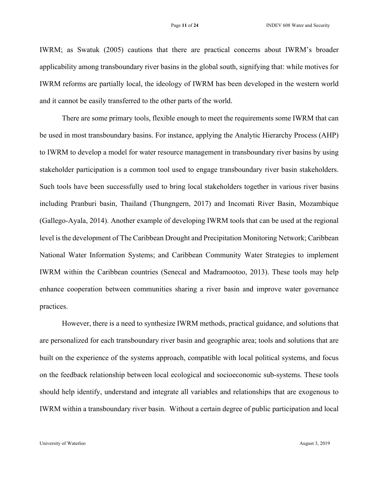IWRM; as Swatuk (2005) cautions that there are practical concerns about IWRM's broader applicability among transboundary river basins in the global south, signifying that: while motives for IWRM reforms are partially local, the ideology of IWRM has been developed in the western world and it cannot be easily transferred to the other parts of the world.

There are some primary tools, flexible enough to meet the requirements some IWRM that can be used in most transboundary basins. For instance, applying the Analytic Hierarchy Process (AHP) to IWRM to develop a model for water resource management in transboundary river basins by using stakeholder participation is a common tool used to engage transboundary river basin stakeholders. Such tools have been successfully used to bring local stakeholders together in various river basins including Pranburi basin, Thailand (Thungngern, 2017) and Incomati River Basin, Mozambique (Gallego-Ayala, 2014). Another example of developing IWRM tools that can be used at the regional level is the development of The Caribbean Drought and Precipitation Monitoring Network; Caribbean National Water Information Systems; and Caribbean Community Water Strategies to implement IWRM within the Caribbean countries (Senecal and Madramootoo, 2013). These tools may help enhance cooperation between communities sharing a river basin and improve water governance practices.

However, there is a need to synthesize IWRM methods, practical guidance, and solutions that are personalized for each transboundary river basin and geographic area; tools and solutions that are built on the experience of the systems approach, compatible with local political systems, and focus on the feedback relationship between local ecological and socioeconomic sub-systems. These tools should help identify, understand and integrate all variables and relationships that are exogenous to IWRM within a transboundary river basin. Without a certain degree of public participation and local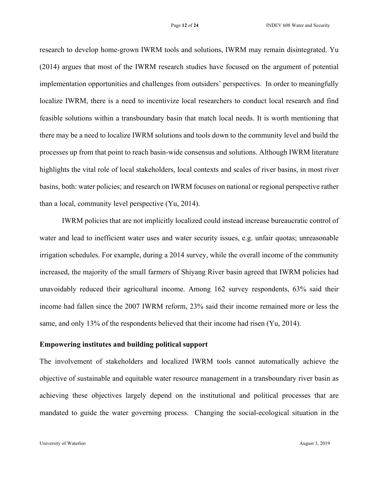research to develop home-grown IWRM tools and solutions, IWRM may remain disintegrated. Yu (2014) argues that most of the IWRM research studies have focused on the argument of potential implementation opportunities and challenges from outsiders' perspectives. In order to meaningfully localize IWRM, there is a need to incentivize local researchers to conduct local research and find feasible solutions within a transboundary basin that match local needs. It is worth mentioning that there may be a need to localize IWRM solutions and tools down to the community level and build the processes up from that point to reach basin-wide consensus and solutions. Although IWRM literature highlights the vital role of local stakeholders, local contexts and scales of river basins, in most river basins, both: water policies; and research on IWRM focuses on national or regional perspective rather than a local, community level perspective (Yu, 2014).

IWRM policies that are not implicitly localized could instead increase bureaucratic control of water and lead to inefficient water uses and water security issues, e.g. unfair quotas; unreasonable irrigation schedules. For example, during a 2014 survey, while the overall income of the community increased, the majority of the small farmers of Shiyang River basin agreed that IWRM policies had unavoidably reduced their agricultural income. Among 162 survey respondents, 63% said their income had fallen since the 2007 IWRM reform, 23% said their income remained more or less the same, and only 13% of the respondents believed that their income had risen (Yu, 2014).

# **Empowering institutes and building political support**

The involvement of stakeholders and localized IWRM tools cannot automatically achieve the objective of sustainable and equitable water resource management in a transboundary river basin as achieving these objectives largely depend on the institutional and political processes that are mandated to guide the water governing process. Changing the social-ecological situation in the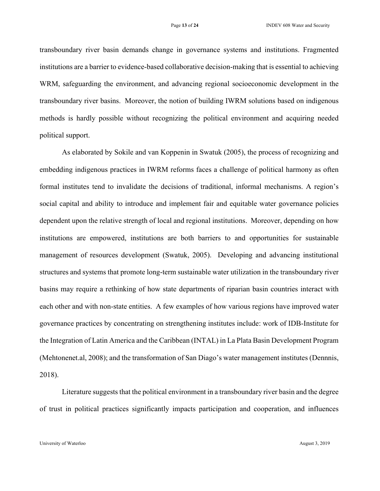transboundary river basin demands change in governance systems and institutions. Fragmented institutions are a barrier to evidence-based collaborative decision-making that is essential to achieving WRM, safeguarding the environment, and advancing regional socioeconomic development in the transboundary river basins. Moreover, the notion of building IWRM solutions based on indigenous methods is hardly possible without recognizing the political environment and acquiring needed political support.

As elaborated by Sokile and van Koppenin in Swatuk (2005), the process of recognizing and embedding indigenous practices in IWRM reforms faces a challenge of political harmony as often formal institutes tend to invalidate the decisions of traditional, informal mechanisms. A region's social capital and ability to introduce and implement fair and equitable water governance policies dependent upon the relative strength of local and regional institutions. Moreover, depending on how institutions are empowered, institutions are both barriers to and opportunities for sustainable management of resources development (Swatuk, 2005). Developing and advancing institutional structures and systems that promote long-term sustainable water utilization in the transboundary river basins may require a rethinking of how state departments of riparian basin countries interact with each other and with non-state entities. A few examples of how various regions have improved water governance practices by concentrating on strengthening institutes include: work of IDB-Institute for the Integration of Latin America and the Caribbean (INTAL) in La Plata Basin Development Program (Mehtonenet.al, 2008); and the transformation of San Diago's water management institutes (Dennnis, 2018).

Literature suggests that the political environment in a transboundary river basin and the degree of trust in political practices significantly impacts participation and cooperation, and influences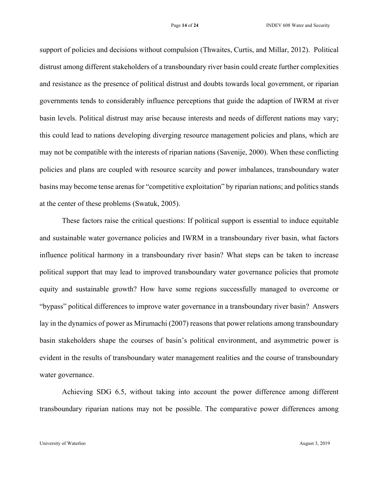support of policies and decisions without compulsion (Thwaites, Curtis, and Millar, 2012). Political distrust among different stakeholders of a transboundary river basin could create further complexities and resistance as the presence of political distrust and doubts towards local government, or riparian governments tends to considerably influence perceptions that guide the adaption of IWRM at river basin levels. Political distrust may arise because interests and needs of different nations may vary; this could lead to nations developing diverging resource management policies and plans, which are may not be compatible with the interests of riparian nations (Savenije, 2000). When these conflicting policies and plans are coupled with resource scarcity and power imbalances, transboundary water basins may become tense arenas for "competitive exploitation" by riparian nations; and politics stands at the center of these problems (Swatuk, 2005).

These factors raise the critical questions: If political support is essential to induce equitable and sustainable water governance policies and IWRM in a transboundary river basin, what factors influence political harmony in a transboundary river basin? What steps can be taken to increase political support that may lead to improved transboundary water governance policies that promote equity and sustainable growth? How have some regions successfully managed to overcome or "bypass" political differences to improve water governance in a transboundary river basin? Answers lay in the dynamics of power as Mirumachi (2007) reasons that power relations among transboundary basin stakeholders shape the courses of basin's political environment, and asymmetric power is evident in the results of transboundary water management realities and the course of transboundary water governance.

Achieving SDG 6.5, without taking into account the power difference among different transboundary riparian nations may not be possible. The comparative power differences among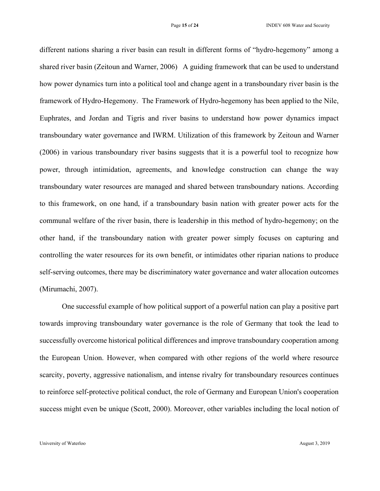different nations sharing a river basin can result in different forms of "hydro-hegemony" among a shared river basin (Zeitoun and Warner, 2006) A guiding framework that can be used to understand how power dynamics turn into a political tool and change agent in a transboundary river basin is the framework of Hydro-Hegemony. The Framework of Hydro-hegemony has been applied to the Nile, Euphrates, and Jordan and Tigris and river basins to understand how power dynamics impact transboundary water governance and IWRM. Utilization of this framework by Zeitoun and Warner (2006) in various transboundary river basins suggests that it is a powerful tool to recognize how power, through intimidation, agreements, and knowledge construction can change the way transboundary water resources are managed and shared between transboundary nations. According to this framework, on one hand, if a transboundary basin nation with greater power acts for the communal welfare of the river basin, there is leadership in this method of hydro-hegemony; on the other hand, if the transboundary nation with greater power simply focuses on capturing and controlling the water resources for its own benefit, or intimidates other riparian nations to produce self-serving outcomes, there may be discriminatory water governance and water allocation outcomes (Mirumachi, 2007).

One successful example of how political support of a powerful nation can play a positive part towards improving transboundary water governance is the role of Germany that took the lead to successfully overcome historical political differences and improve transboundary cooperation among the European Union. However, when compared with other regions of the world where resource scarcity, poverty, aggressive nationalism, and intense rivalry for transboundary resources continues to reinforce self-protective political conduct, the role of Germany and European Union's cooperation success might even be unique (Scott, 2000). Moreover, other variables including the local notion of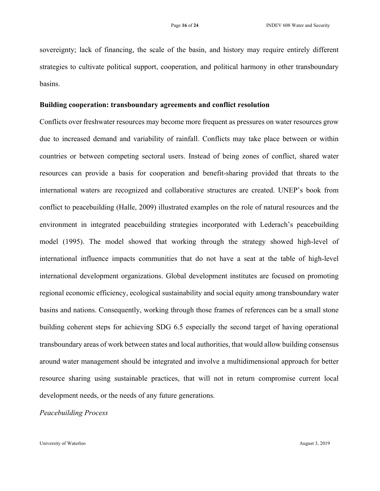sovereignty; lack of financing, the scale of the basin, and history may require entirely different strategies to cultivate political support, cooperation, and political harmony in other transboundary basins.

#### **Building cooperation: transboundary agreements and conflict resolution**

Conflicts over freshwater resources may become more frequent as pressures on water resources grow due to increased demand and variability of rainfall. Conflicts may take place between or within countries or between competing sectoral users. Instead of being zones of conflict, shared water resources can provide a basis for cooperation and benefit-sharing provided that threats to the international waters are recognized and collaborative structures are created. UNEP's book from conflict to peacebuilding (Halle, 2009) illustrated examples on the role of natural resources and the environment in integrated peacebuilding strategies incorporated with Lederach's peacebuilding model (1995). The model showed that working through the strategy showed high-level of international influence impacts communities that do not have a seat at the table of high-level international development organizations. Global development institutes are focused on promoting regional economic efficiency, ecological sustainability and social equity among transboundary water basins and nations. Consequently, working through those frames of references can be a small stone building coherent steps for achieving SDG 6.5 especially the second target of having operational transboundary areas of work between states and local authorities, that would allow building consensus around water management should be integrated and involve a multidimensional approach for better resource sharing using sustainable practices, that will not in return compromise current local development needs, or the needs of any future generations.

# *Peacebuilding Process*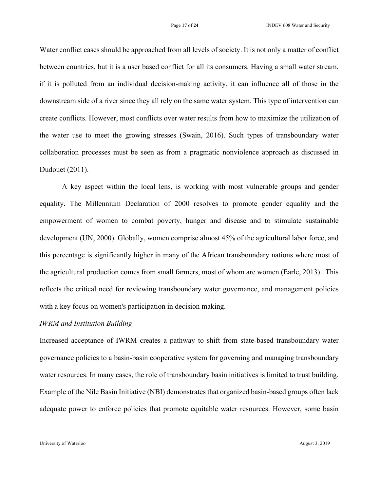Water conflict cases should be approached from all levels of society. It is not only a matter of conflict between countries, but it is a user based conflict for all its consumers. Having a small water stream, if it is polluted from an individual decision-making activity, it can influence all of those in the downstream side of a river since they all rely on the same water system. This type of intervention can create conflicts. However, most conflicts over water results from how to maximize the utilization of the water use to meet the growing stresses (Swain, 2016). Such types of transboundary water collaboration processes must be seen as from a pragmatic nonviolence approach as discussed in Dudouet (2011).

A key aspect within the local lens, is working with most vulnerable groups and gender equality. The Millennium Declaration of 2000 resolves to promote gender equality and the empowerment of women to combat poverty, hunger and disease and to stimulate sustainable development (UN, 2000). Globally, women comprise almost 45% of the agricultural labor force, and this percentage is significantly higher in many of the African transboundary nations where most of the agricultural production comes from small farmers, most of whom are women (Earle, 2013). This reflects the critical need for reviewing transboundary water governance, and management policies with a key focus on women's participation in decision making.

## *IWRM and Institution Building*

Increased acceptance of IWRM creates a pathway to shift from state-based transboundary water governance policies to a basin-basin cooperative system for governing and managing transboundary water resources. In many cases, the role of transboundary basin initiatives is limited to trust building. Example of the Nile Basin Initiative (NBI) demonstrates that organized basin-based groups often lack adequate power to enforce policies that promote equitable water resources. However, some basin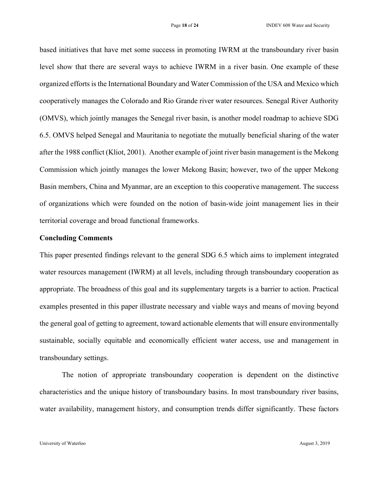based initiatives that have met some success in promoting IWRM at the transboundary river basin level show that there are several ways to achieve IWRM in a river basin. One example of these organized efforts is the International Boundary and Water Commission of the USA and Mexico which cooperatively manages the Colorado and Rio Grande river water resources. Senegal River Authority (OMVS), which jointly manages the Senegal river basin, is another model roadmap to achieve SDG 6.5. OMVS helped Senegal and Mauritania to negotiate the mutually beneficial sharing of the water after the 1988 conflict (Kliot, 2001). Another example of joint river basin management is the Mekong Commission which jointly manages the lower Mekong Basin; however, two of the upper Mekong Basin members, China and Myanmar, are an exception to this cooperative management. The success of organizations which were founded on the notion of basin-wide joint management lies in their territorial coverage and broad functional frameworks.

## **Concluding Comments**

This paper presented findings relevant to the general SDG 6.5 which aims to implement integrated water resources management (IWRM) at all levels, including through transboundary cooperation as appropriate. The broadness of this goal and its supplementary targets is a barrier to action. Practical examples presented in this paper illustrate necessary and viable ways and means of moving beyond the general goal of getting to agreement, toward actionable elements that will ensure environmentally sustainable, socially equitable and economically efficient water access, use and management in transboundary settings.

The notion of appropriate transboundary cooperation is dependent on the distinctive characteristics and the unique history of transboundary basins. In most transboundary river basins, water availability, management history, and consumption trends differ significantly. These factors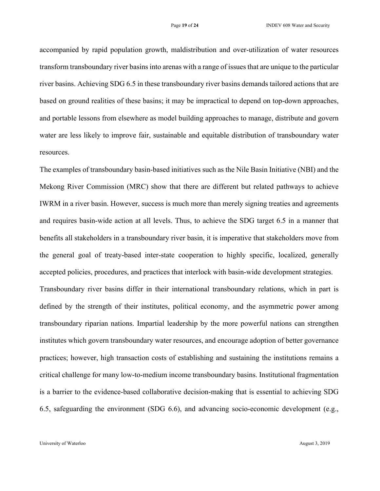accompanied by rapid population growth, maldistribution and over-utilization of water resources transform transboundary river basins into arenas with a range of issues that are unique to the particular river basins. Achieving SDG 6.5 in these transboundary river basins demands tailored actions that are based on ground realities of these basins; it may be impractical to depend on top-down approaches, and portable lessons from elsewhere as model building approaches to manage, distribute and govern water are less likely to improve fair, sustainable and equitable distribution of transboundary water resources.

The examples of transboundary basin-based initiatives such as the Nile Basin Initiative (NBI) and the Mekong River Commission (MRC) show that there are different but related pathways to achieve IWRM in a river basin. However, success is much more than merely signing treaties and agreements and requires basin-wide action at all levels. Thus, to achieve the SDG target 6.5 in a manner that benefits all stakeholders in a transboundary river basin, it is imperative that stakeholders move from the general goal of treaty-based inter-state cooperation to highly specific, localized, generally accepted policies, procedures, and practices that interlock with basin-wide development strategies.

Transboundary river basins differ in their international transboundary relations, which in part is defined by the strength of their institutes, political economy, and the asymmetric power among transboundary riparian nations. Impartial leadership by the more powerful nations can strengthen institutes which govern transboundary water resources, and encourage adoption of better governance practices; however, high transaction costs of establishing and sustaining the institutions remains a critical challenge for many low-to-medium income transboundary basins. Institutional fragmentation is a barrier to the evidence-based collaborative decision-making that is essential to achieving SDG 6.5, safeguarding the environment (SDG 6.6), and advancing socio-economic development (e.g.,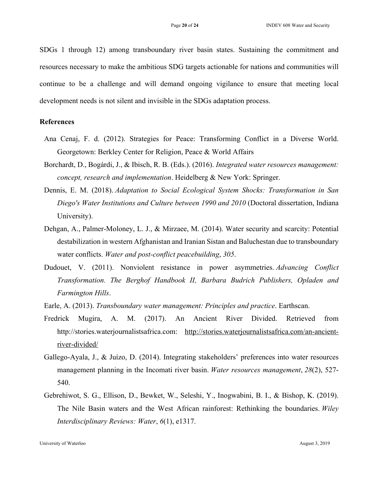SDGs 1 through 12) among transboundary river basin states. Sustaining the commitment and resources necessary to make the ambitious SDG targets actionable for nations and communities will continue to be a challenge and will demand ongoing vigilance to ensure that meeting local development needs is not silent and invisible in the SDGs adaptation process.

## **References**

- Ana Cenaj, F. d. (2012). Strategies for Peace: Transforming Conflict in a Diverse World. Georgetown: Berkley Center for Religion, Peace & World Affairs
- Borchardt, D., Bogárdi, J., & Ibisch, R. B. (Eds.). (2016). *Integrated water resources management: concept, research and implementation*. Heidelberg & New York: Springer.
- Dennis, E. M. (2018). *Adaptation to Social Ecological System Shocks: Transformation in San Diego's Water Institutions and Culture between 1990 and 2010* (Doctoral dissertation, Indiana University).
- Dehgan, A., Palmer-Moloney, L. J., & Mirzaee, M. (2014). Water security and scarcity: Potential destabilization in western Afghanistan and Iranian Sistan and Baluchestan due to transboundary water conflicts. *Water and post-conflict peacebuilding*, *305*.
- Dudouet, V. (2011). Nonviolent resistance in power asymmetries. *Advancing Conflict Transformation. The Berghof Handbook II, Barbara Budrich Publishers, Opladen and Farmington Hills*.
- Earle, A. (2013). *Transboundary water management: Principles and practice*. Earthscan.
- Fredrick Mugira, A. M. (2017). An Ancient River Divided. Retrieved from http://stories.waterjournalistsafrica.com: http://stories.waterjournalistsafrica.com/an-ancientriver-divided/
- Gallego-Ayala, J., & Juízo, D. (2014). Integrating stakeholders' preferences into water resources management planning in the Incomati river basin. *Water resources management*, *28*(2), 527- 540.
- Gebrehiwot, S. G., Ellison, D., Bewket, W., Seleshi, Y., Inogwabini, B. I., & Bishop, K. (2019). The Nile Basin waters and the West African rainforest: Rethinking the boundaries. *Wiley Interdisciplinary Reviews: Water*, *6*(1), e1317.

University of Waterloo August 3, 2019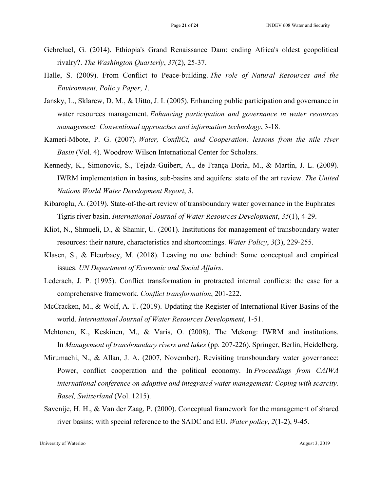- Gebreluel, G. (2014). Ethiopia's Grand Renaissance Dam: ending Africa's oldest geopolitical rivalry?. *The Washington Quarterly*, *37*(2), 25-37.
- Halle, S. (2009). From Conflict to Peace-building. *The role of Natural Resources and the Environment, Polic y Paper*, *1*.
- Jansky, L., Sklarew, D. M., & Uitto, J. I. (2005). Enhancing public participation and governance in water resources management. *Enhancing participation and governance in water resources management: Conventional approaches and information technology*, 3-18.
- Kameri-Mbote, P. G. (2007). *Water, ConfliCt, and Cooperation: lessons from the nile river Basin* (Vol. 4). Woodrow Wilson International Center for Scholars.
- Kennedy, K., Simonovic, S., Tejada-Guibert, A., de França Doria, M., & Martin, J. L. (2009). IWRM implementation in basins, sub-basins and aquifers: state of the art review. *The United Nations World Water Development Report*, *3*.
- Kibaroglu, A. (2019). State-of-the-art review of transboundary water governance in the Euphrates– Tigris river basin. *International Journal of Water Resources Development*, *35*(1), 4-29.
- Kliot, N., Shmueli, D., & Shamir, U. (2001). Institutions for management of transboundary water resources: their nature, characteristics and shortcomings. *Water Policy*, *3*(3), 229-255.
- Klasen, S., & Fleurbaey, M. (2018). Leaving no one behind: Some conceptual and empirical issues. *UN Department of Economic and Social Affairs*.
- Lederach, J. P. (1995). Conflict transformation in protracted internal conflicts: the case for a comprehensive framework. *Conflict transformation*, 201-222.
- McCracken, M., & Wolf, A. T. (2019). Updating the Register of International River Basins of the world. *International Journal of Water Resources Development*, 1-51.
- Mehtonen, K., Keskinen, M., & Varis, O. (2008). The Mekong: IWRM and institutions. In *Management of transboundary rivers and lakes* (pp. 207-226). Springer, Berlin, Heidelberg.
- Mirumachi, N., & Allan, J. A. (2007, November). Revisiting transboundary water governance: Power, conflict cooperation and the political economy. In *Proceedings from CAIWA international conference on adaptive and integrated water management: Coping with scarcity. Basel, Switzerland* (Vol. 1215).
- Savenije, H. H., & Van der Zaag, P. (2000). Conceptual framework for the management of shared river basins; with special reference to the SADC and EU. *Water policy*, *2*(1-2), 9-45.

University of Waterloo August 3, 2019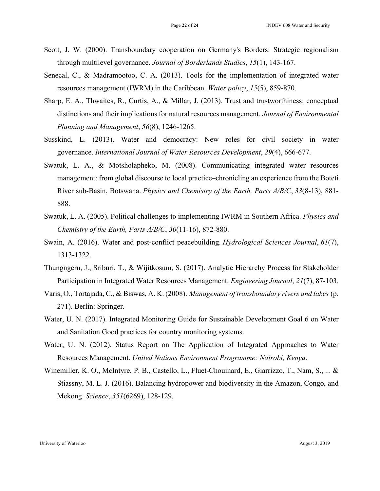- Scott, J. W. (2000). Transboundary cooperation on Germany's Borders: Strategic regionalism through multilevel governance. *Journal of Borderlands Studies*, *15*(1), 143-167.
- Senecal, C., & Madramootoo, C. A. (2013). Tools for the implementation of integrated water resources management (IWRM) in the Caribbean. *Water policy*, *15*(5), 859-870.
- Sharp, E. A., Thwaites, R., Curtis, A., & Millar, J. (2013). Trust and trustworthiness: conceptual distinctions and their implications for natural resources management. *Journal of Environmental Planning and Management*, *56*(8), 1246-1265.
- Susskind, L. (2013). Water and democracy: New roles for civil society in water governance. *International Journal of Water Resources Development*, *29*(4), 666-677.
- Swatuk, L. A., & Motsholapheko, M. (2008). Communicating integrated water resources management: from global discourse to local practice–chronicling an experience from the Boteti River sub-Basin, Botswana. *Physics and Chemistry of the Earth, Parts A/B/C*, *33*(8-13), 881- 888.
- Swatuk, L. A. (2005). Political challenges to implementing IWRM in Southern Africa. *Physics and Chemistry of the Earth, Parts A/B/C*, *30*(11-16), 872-880.
- Swain, A. (2016). Water and post-conflict peacebuilding. *Hydrological Sciences Journal*, *61*(7), 1313-1322.
- Thungngern, J., Sriburi, T., & Wijitkosum, S. (2017). Analytic Hierarchy Process for Stakeholder Participation in Integrated Water Resources Management. *Engineering Journal*, *21*(7), 87-103.
- Varis, O., Tortajada, C., & Biswas, A. K. (2008). *Management of transboundary rivers and lakes* (p. 271). Berlin: Springer.
- Water, U. N. (2017). Integrated Monitoring Guide for Sustainable Development Goal 6 on Water and Sanitation Good practices for country monitoring systems.
- Water, U. N. (2012). Status Report on The Application of Integrated Approaches to Water Resources Management. *United Nations Environment Programme: Nairobi, Kenya*.
- Winemiller, K. O., McIntyre, P. B., Castello, L., Fluet-Chouinard, E., Giarrizzo, T., Nam, S., ... & Stiassny, M. L. J. (2016). Balancing hydropower and biodiversity in the Amazon, Congo, and Mekong. *Science*, *351*(6269), 128-129.